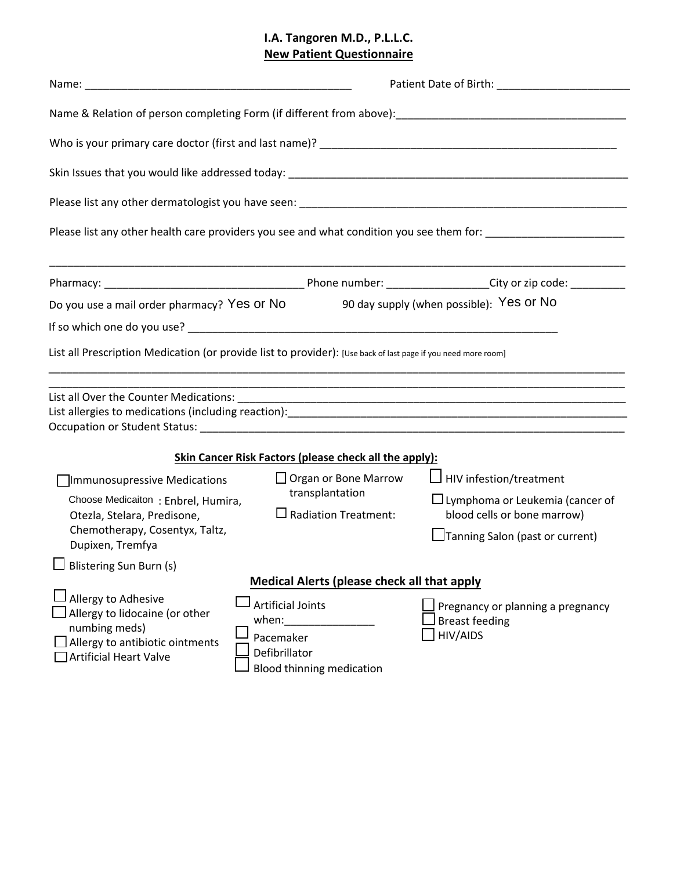# **I.A. Tangoren M.D., P.L.L.C. New Patient Questionnaire**

|                                                                                                                                                         |                                                                                                                                                           | Please list any other health care providers you see and what condition you see them for: _____________________                             |  |  |  |  |  |  |  |  |
|---------------------------------------------------------------------------------------------------------------------------------------------------------|-----------------------------------------------------------------------------------------------------------------------------------------------------------|--------------------------------------------------------------------------------------------------------------------------------------------|--|--|--|--|--|--|--|--|
|                                                                                                                                                         |                                                                                                                                                           |                                                                                                                                            |  |  |  |  |  |  |  |  |
| Do you use a mail order pharmacy? Yes or No                                                                                                             |                                                                                                                                                           | 90 day supply (when possible): Yes or No                                                                                                   |  |  |  |  |  |  |  |  |
|                                                                                                                                                         |                                                                                                                                                           |                                                                                                                                            |  |  |  |  |  |  |  |  |
| List all Prescription Medication (or provide list to provider): [Use back of last page if you need more room]                                           |                                                                                                                                                           |                                                                                                                                            |  |  |  |  |  |  |  |  |
|                                                                                                                                                         |                                                                                                                                                           |                                                                                                                                            |  |  |  |  |  |  |  |  |
|                                                                                                                                                         | Skin Cancer Risk Factors (please check all the apply):                                                                                                    |                                                                                                                                            |  |  |  |  |  |  |  |  |
| Immunosupressive Medications<br>Choose Medicaiton: Enbrel, Humira,<br>Otezla, Stelara, Predisone,<br>Chemotherapy, Cosentyx, Taltz,<br>Dupixen, Tremfya | $\Box$ Organ or Bone Marrow<br>transplantation<br>$\square$ Radiation Treatment:                                                                          | $\Box$ HIV infestion/treatment<br>$\Box$ Lymphoma or Leukemia (cancer of<br>blood cells or bone marrow)<br>Tanning Salon (past or current) |  |  |  |  |  |  |  |  |
| $\Box$ Blistering Sun Burn (s)                                                                                                                          |                                                                                                                                                           |                                                                                                                                            |  |  |  |  |  |  |  |  |
| Allergy to Adhesive<br>Allergy to lidocaine (or other<br>numbing meds)<br>$\Box$ Allergy to antibiotic ointments<br><b>Artificial Heart Valve</b>       | <b>Medical Alerts (please check all that apply</b><br><b>Artificial Joints</b><br>when:<br>Pacemaker<br>Defibrillator<br><b>Blood thinning medication</b> | Pregnancy or planning a pregnancy<br><b>Breast feeding</b><br>HIV/AIDS                                                                     |  |  |  |  |  |  |  |  |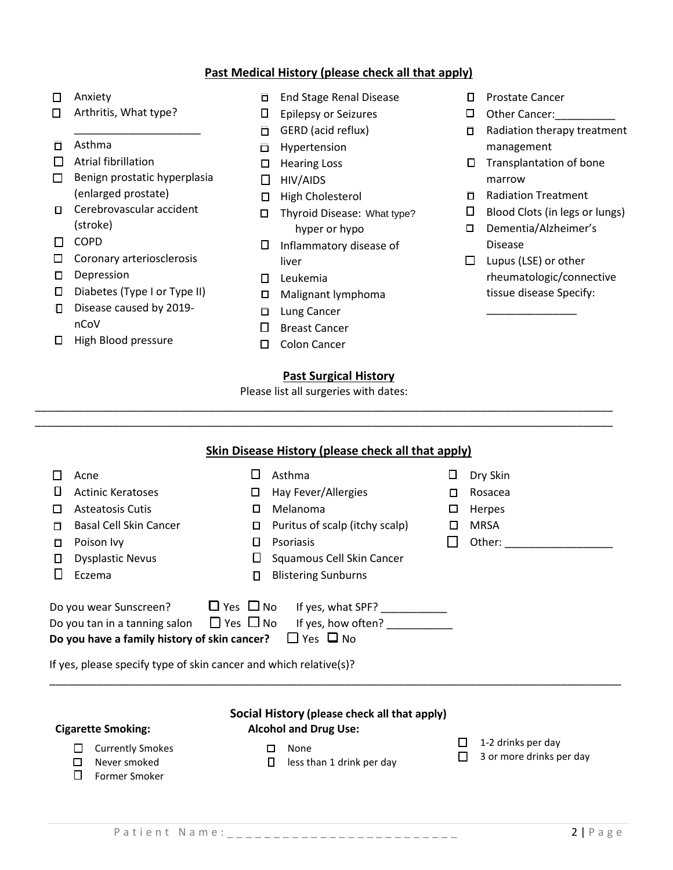## **Past Medical History (please check all that apply)**

- □ Anxiety
- □ Arthritis, What type?
- Asthma
- $\Box$  Atrial fibrillation
- $\Box$  Benign prostatic hyperplasia (enlarged prostate)

\_\_\_\_\_\_\_\_\_\_\_\_\_\_\_\_\_\_\_\_\_

- □ Cerebrovascular accident (stroke)
- □ COPD
- $\square$  Coronary arteriosclerosis
- D Depression
- Diabetes (Type I or Type II)
- Disease caused by 2019nCoV
- □ High Blood pressure
- **End Stage Renal Disease**
- Epilepsy or Seizures
- □ GERD (acid reflux)
- **Hypertension**
- $\Box$  Hearing Loss
- $\Box$  HIV/AIDS
- □ High Cholesterol
- □ Thyroid Disease: What type? hyper or hypo
- $\square$  Inflammatory disease of liver
- Leukemia
- Malignant lymphoma
- **Lung Cancer**
- □ Breast Cancer
- D Colon Cancer

## **Past Surgical History**

Please list all surgeries with dates: \_\_\_\_\_\_\_\_\_\_\_\_\_\_\_\_\_\_\_\_\_\_\_\_\_\_\_\_\_\_\_\_\_\_\_\_\_\_\_\_\_\_\_\_\_\_\_\_\_\_\_\_\_\_\_\_\_\_\_\_\_\_\_\_\_\_\_\_\_\_\_\_\_\_\_\_\_\_\_\_\_\_\_\_\_\_\_\_\_\_\_\_\_\_\_\_

\_\_\_\_\_\_\_\_\_\_\_\_\_\_\_\_\_\_\_\_\_\_\_\_\_\_\_\_\_\_\_\_\_\_\_\_\_\_\_\_\_\_\_\_\_\_\_\_\_\_\_\_\_\_\_\_\_\_\_\_\_\_\_\_\_\_\_\_\_\_\_\_\_\_\_\_\_\_\_\_\_\_\_\_\_\_\_\_\_\_\_\_\_\_\_\_

- □ Prostate Cancer
- Other Cancer:\_\_\_\_\_\_\_\_\_\_
- Radiation therapy treatment management
- $\square$  Transplantation of bone marrow
- Radiation Treatment
- $\square$  Blood Clots (in legs or lungs)
- Dementia/Alzheimer's Disease
- $\Box$  Lupus (LSE) or other rheumatologic/connective tissue disease Specify:

\_\_\_\_\_\_\_\_\_\_\_\_\_\_\_

| Skin Disease History (please check all that apply)                                                                                                                                                                                                                                                                                                                                        |                                                                                                                                                                 |                  |                                                        |  |  |  |  |  |
|-------------------------------------------------------------------------------------------------------------------------------------------------------------------------------------------------------------------------------------------------------------------------------------------------------------------------------------------------------------------------------------------|-----------------------------------------------------------------------------------------------------------------------------------------------------------------|------------------|--------------------------------------------------------|--|--|--|--|--|
| Acne<br>Ц<br><b>Actinic Keratoses</b><br><b>Asteatosis Cutis</b><br><b>Basal Cell Skin Cancer</b><br>п<br>Poison Ivy<br>□<br><b>Dysplastic Nevus</b><br>Ц                                                                                                                                                                                                                                 | П<br>Asthma<br>Hay Fever/Allergies<br>$\Box$<br>Melanoma<br>0<br>Puritus of scalp (itchy scalp)<br>0<br><b>Psoriasis</b><br>□<br>⊔<br>Squamous Cell Skin Cancer | □<br>П<br>□<br>□ | Dry Skin<br>Rosacea<br>Herpes<br><b>MRSA</b><br>Other: |  |  |  |  |  |
| Eczema<br><b>Blistering Sunburns</b><br>п<br>$\Box$ Yes $\Box$ No<br>If yes, what SPF?<br>Do you wear Sunscreen?<br>Do you tan in a tanning salon $\Box$ Yes $\Box$ No<br>If yes, how often?<br>$\Box$ Yes $\Box$ No<br>Do you have a family history of skin cancer?<br>If yes, please specify type of skin cancer and which relative(s)?<br>Social History (please check all that apply) |                                                                                                                                                                 |                  |                                                        |  |  |  |  |  |

#### **Cigarette Smoking:**

# $\Box$  Currently Smokes

- **Alcohol and Drug Use:**  □ None
	- $\Box$  less than 1 drink per day
- $\Box$  1-2 drinks per day
- $\Box$  3 or more drinks per day

□ Never smoked Former Smoker